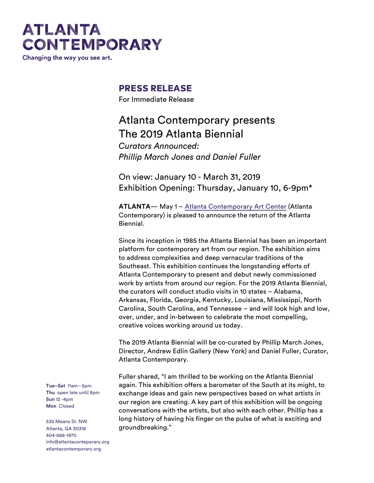# **ATLANTA CONTEMPORARY**

Changing the way you see art.

### **PRESS RELEASE**

For Immediate Release

## Atlanta Contemporary presents The 2019 Atlanta Biennial

*Curators Announced: Phillip March Jones and Daniel Fuller*

On view: January 10 - March 31, 2019 Exhibition Opening: Thursday, January 10, 6-9pm\*

**ATLANTA**— May 1 – Atlanta Contemporary Art Center (Atlanta Contemporary) is pleased to announce the return of the Atlanta Biennial.

Since its inception in 1985 the Atlanta Biennial has been an important platform for contemporary art from our region. The exhibition aims to address complexities and deep vernacular traditions of the Southeast. This exhibition continues the longstanding efforts of Atlanta Contemporary to present and debut newly commissioned work by artists from around our region. For the 2019 Atlanta Biennial, the curators will conduct studio visits in 10 states – Alabama, Arkansas, Florida, Georgia, Kentucky, Louisiana, Mississippi, North Carolina, South Carolina, and Tennessee – and will look high and low, over, under, and in-between to celebrate the most compelling, creative voices working around us today.

The 2019 Atlanta Biennial will be co-curated by Phillip March Jones, Director, Andrew Edlin Gallery (New York) and Daniel Fuller, Curator, Atlanta Contemporary.

Fuller shared, "I am thrilled to be working on the Atlanta Biennial again. This exhibition offers a barometer of the South at its might, to exchange ideas and gain new perspectives based on what artists in our region are creating. A key part of this exhibition will be ongoing conversations with the artists, but also with each other. Phillip has a long history of having his finger on the pulse of what is exciting and groundbreaking."

**Tue–Sat** 11am–5pm **Thu** open late until 8pm **Sun** 12 -4pm **Mon** Closed

535 Means St. NW Atlanta, GA 30318 404-688-1970 info@atlantaconteporary.org atlantacontemporary.org